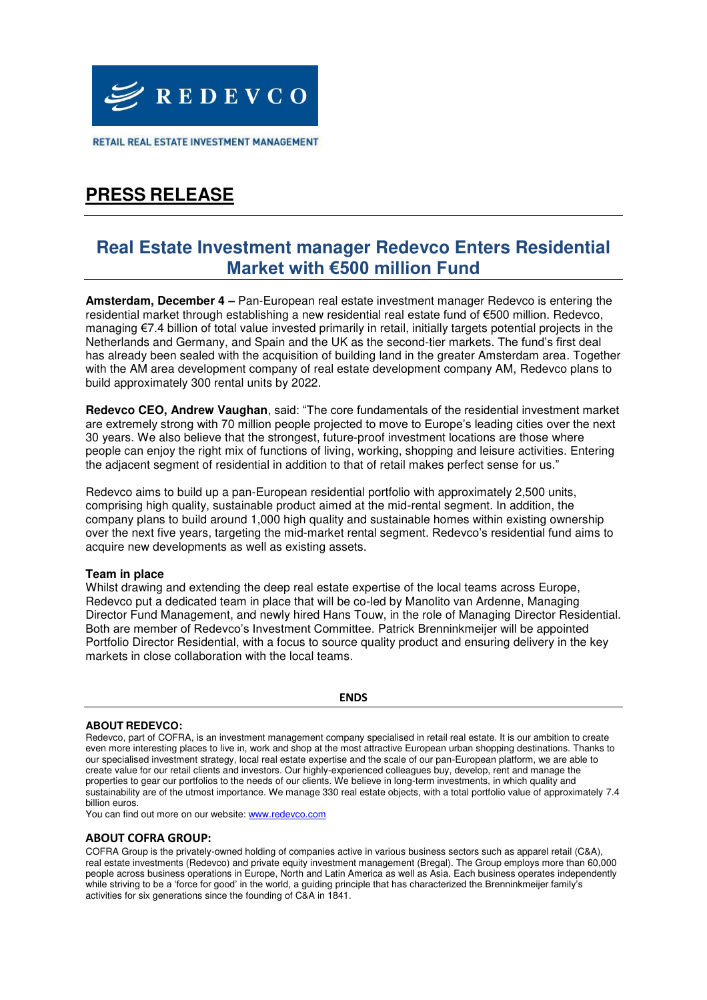

RETAIL REAL ESTATE INVESTMENT MANAGEMENT

## **PRESS RELEASE**

### **Real Estate Investment manager Redevco Enters Residential Market with €500 million Fund**

**Amsterdam, December 4 –** Pan-European real estate investment manager Redevco is entering the residential market through establishing a new residential real estate fund of €500 million. Redevco, managing €7.4 billion of total value invested primarily in retail, initially targets potential projects in the Netherlands and Germany, and Spain and the UK as the second-tier markets. The fund's first deal has already been sealed with the acquisition of building land in the greater Amsterdam area. Together with the AM area development company of real estate development company AM, Redevco plans to build approximately 300 rental units by 2022.

**Redevco CEO, Andrew Vaughan**, said: "The core fundamentals of the residential investment market are extremely strong with 70 million people projected to move to Europe's leading cities over the next 30 years. We also believe that the strongest, future-proof investment locations are those where people can enjoy the right mix of functions of living, working, shopping and leisure activities. Entering the adjacent segment of residential in addition to that of retail makes perfect sense for us."

Redevco aims to build up a pan-European residential portfolio with approximately 2,500 units, comprising high quality, sustainable product aimed at the mid-rental segment. In addition, the company plans to build around 1,000 high quality and sustainable homes within existing ownership over the next five years, targeting the mid-market rental segment. Redevco's residential fund aims to acquire new developments as well as existing assets.

### **Team in place**

Whilst drawing and extending the deep real estate expertise of the local teams across Europe, Redevco put a dedicated team in place that will be co-led by Manolito van Ardenne, Managing Director Fund Management, and newly hired Hans Touw, in the role of Managing Director Residential. Both are member of Redevco's Investment Committee. Patrick Brenninkmeijer will be appointed Portfolio Director Residential, with a focus to source quality product and ensuring delivery in the key markets in close collaboration with the local teams.

#### **ENDS**

#### **ABOUT REDEVCO:**

Redevco, part of COFRA, is an investment management company specialised in retail real estate. It is our ambition to create even more interesting places to live in, work and shop at the most attractive European urban shopping destinations. Thanks to our specialised investment strategy, local real estate expertise and the scale of our pan-European platform, we are able to create value for our retail clients and investors. Our highly-experienced colleagues buy, develop, rent and manage the properties to gear our portfolios to the needs of our clients. We believe in long-term investments, in which quality and sustainability are of the utmost importance. We manage 330 real estate objects, with a total portfolio value of approximately 7.4 billion euros.

You can find out more on our website: www.redevco.com

#### **ABOUT COFRA GROUP:**

COFRA Group is the privately-owned holding of companies active in various business sectors such as apparel retail (C&A), real estate investments (Redevco) and private equity investment management (Bregal). The Group employs more than 60,000 people across business operations in Europe, North and Latin America as well as Asia. Each business operates independently while striving to be a 'force for good' in the world, a guiding principle that has characterized the Brenninkmeijer family's activities for six generations since the founding of C&A in 1841.